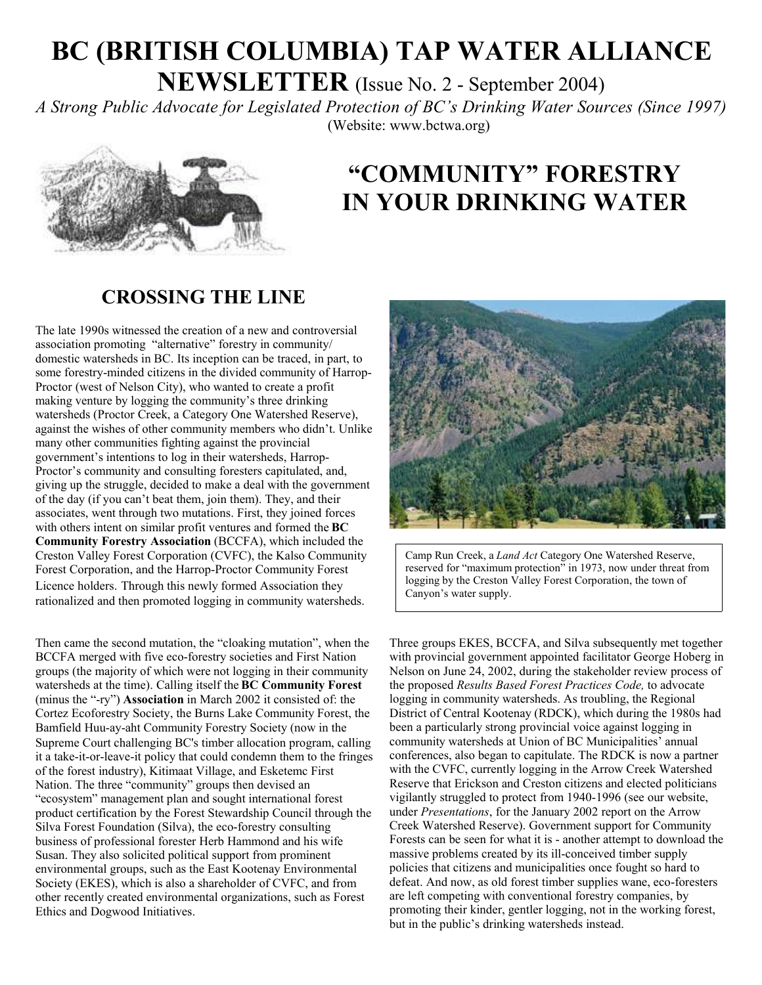# **BC (BRITISH COLUMBIA) TAP WATER ALLIANCE**

**NEWSLETTER** (Issue No. 2 - September 2004)

*A Strong Public Advocate for Legislated Protection of BC's Drinking Water Sources (Since 1997)* (Website: www.bctwa.org)



## **"COMMUNITY" FORESTRY IN YOUR DRINKING WATER**

#### **CROSSING THE LINE**

The late 1990s witnessed the creation of a new and controversial association promoting "alternative" forestry in community/ domestic watersheds in BC. Its inception can be traced, in part, to some forestry-minded citizens in the divided community of Harrop-Proctor (west of Nelson City), who wanted to create a profit making venture by logging the community's three drinking watersheds (Proctor Creek, a Category One Watershed Reserve), against the wishes of other community members who didn't. Unlike many other communities fighting against the provincial government's intentions to log in their watersheds, Harrop-Proctor's community and consulting foresters capitulated, and, giving up the struggle, decided to make a deal with the government of the day (if you can't beat them, join them). They, and their associates, went through two mutations. First, they joined forces with others intent on similar profit ventures and formed the **BC Community Forestry Association** (BCCFA), which included the Creston Valley Forest Corporation (CVFC), the Kalso Community Forest Corporation, and the Harrop-Proctor Community Forest Licence holders. Through this newly formed Association they rationalized and then promoted logging in community watersheds.

Then came the second mutation, the "cloaking mutation", when the BCCFA merged with five eco-forestry societies and First Nation groups (the majority of which were not logging in their community watersheds at the time). Calling itself the **BC Community Forest** (minus the "-ry") **Association** in March 2002 it consisted of: the Cortez Ecoforestry Society, the Burns Lake Community Forest, the Bamfield Huu-ay-aht Community Forestry Society (now in the Supreme Court challenging BC's timber allocation program, calling it a take-it-or-leave-it policy that could condemn them to the fringes of the forest industry), Kitimaat Village, and Esketemc First Nation. The three "community" groups then devised an "ecosystem" management plan and sought international forest product certification by the Forest Stewardship Council through the Silva Forest Foundation (Silva), the eco-forestry consulting business of professional forester Herb Hammond and his wife Susan. They also solicited political support from prominent environmental groups, such as the East Kootenay Environmental Society (EKES), which is also a shareholder of CVFC, and from other recently created environmental organizations, such as Forest Ethics and Dogwood Initiatives.



Camp Run Creek, a *Land Act* Category One Watershed Reserve, reserved for "maximum protection" in 1973, now under threat from logging by the Creston Valley Forest Corporation, the town of Canyon's water supply.

Three groups EKES, BCCFA, and Silva subsequently met together with provincial government appointed facilitator George Hoberg in Nelson on June 24, 2002, during the stakeholder review process of the proposed *Results Based Forest Practices Code,* to advocate logging in community watersheds. As troubling, the Regional District of Central Kootenay (RDCK), which during the 1980s had been a particularly strong provincial voice against logging in community watersheds at Union of BC Municipalities' annual conferences, also began to capitulate. The RDCK is now a partner with the CVFC, currently logging in the Arrow Creek Watershed Reserve that Erickson and Creston citizens and elected politicians vigilantly struggled to protect from 1940-1996 (see our website, under *Presentations*, for the January 2002 report on the Arrow Creek Watershed Reserve). Government support for Community Forests can be seen for what it is - another attempt to download the massive problems created by its ill-conceived timber supply policies that citizens and municipalities once fought so hard to defeat. And now, as old forest timber supplies wane, eco-foresters are left competing with conventional forestry companies, by promoting their kinder, gentler logging, not in the working forest, but in the public's drinking watersheds instead.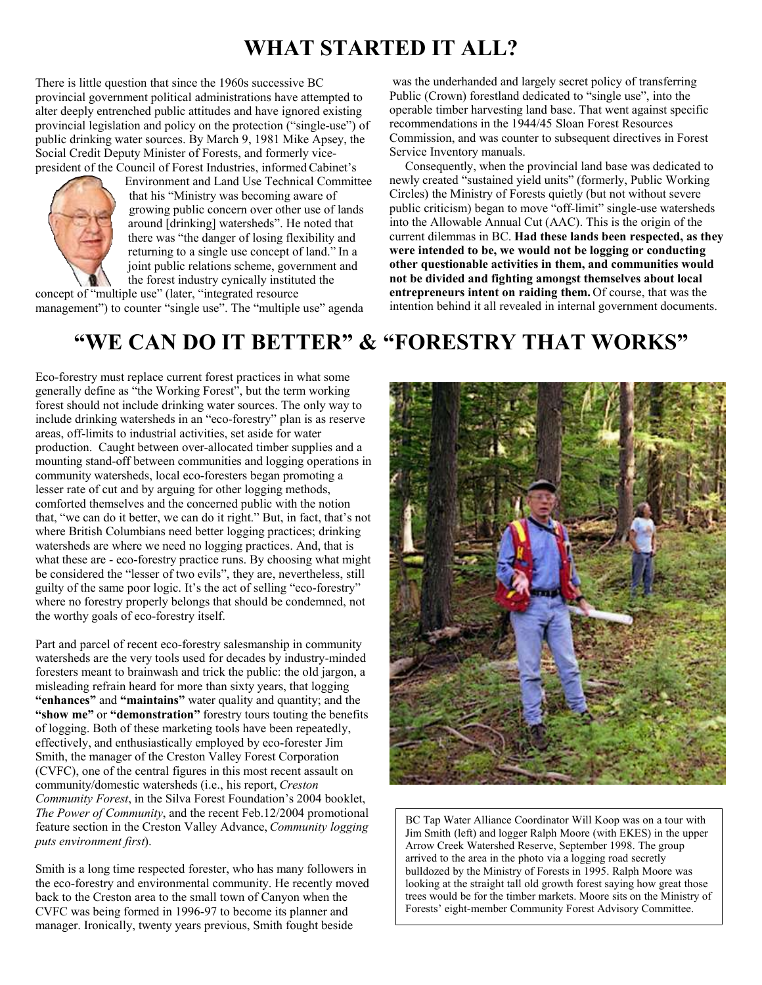### **WHAT STARTED IT ALL?**

There is little question that since the 1960s successive BC provincial government political administrations have attempted to alter deeply entrenched public attitudes and have ignored existing provincial legislation and policy on the protection ("single-use") of public drinking water sources. By March 9, 1981 Mike Apsey, the Social Credit Deputy Minister of Forests, and formerly vicepresident of the Council of Forest Industries, informed Cabinet's



Environment and Land Use Technical Committee that his "Ministry was becoming aware of growing public concern over other use of lands around [drinking] watersheds". He noted that there was "the danger of losing flexibility and returning to a single use concept of land." In a joint public relations scheme, government and the forest industry cynically instituted the

concept of "multiple use" (later, "integrated resource management") to counter "single use". The "multiple use" agenda

was the underhanded and largely secret policy of transferring Public (Crown) forestland dedicated to "single use", into the operable timber harvesting land base. That went against specific recommendations in the 1944/45 Sloan Forest Resources Commission, and was counter to subsequent directives in Forest Service Inventory manuals.

 Consequently, when the provincial land base was dedicated to newly created "sustained yield units" (formerly, Public Working Circles) the Ministry of Forests quietly (but not without severe public criticism) began to move "off-limit" single-use watersheds into the Allowable Annual Cut (AAC). This is the origin of the current dilemmas in BC. **Had these lands been respected, as they were intended to be, we would not be logging or conducting other questionable activities in them, and communities would not be divided and fighting amongst themselves about local entrepreneurs intent on raiding them.** Of course, that was the intention behind it all revealed in internal government documents.

## **"WE CAN DO IT BETTER" & "FORESTRY THAT WORKS"**

Eco-forestry must replace current forest practices in what some generally define as "the Working Forest", but the term working forest should not include drinking water sources. The only way to include drinking watersheds in an "eco-forestry" plan is as reserve areas, off-limits to industrial activities, set aside for water production. Caught between over-allocated timber supplies and a mounting stand-off between communities and logging operations in community watersheds, local eco-foresters began promoting a lesser rate of cut and by arguing for other logging methods, comforted themselves and the concerned public with the notion that, "we can do it better, we can do it right." But, in fact, that's not where British Columbians need better logging practices; drinking watersheds are where we need no logging practices. And, that is what these are - eco-forestry practice runs. By choosing what might be considered the "lesser of two evils", they are, nevertheless, still guilty of the same poor logic. It's the act of selling "eco-forestry" where no forestry properly belongs that should be condemned, not the worthy goals of eco-forestry itself.

Part and parcel of recent eco-forestry salesmanship in community watersheds are the very tools used for decades by industry-minded foresters meant to brainwash and trick the public: the old jargon, a misleading refrain heard for more than sixty years, that logging **"enhances"** and **"maintains"** water quality and quantity; and the **"show me"** or **"demonstration"** forestry tours touting the benefits of logging. Both of these marketing tools have been repeatedly, effectively, and enthusiastically employed by eco-forester Jim Smith, the manager of the Creston Valley Forest Corporation (CVFC), one of the central figures in this most recent assault on community/domestic watersheds (i.e., his report, *Creston Community Forest*, in the Silva Forest Foundation's 2004 booklet, *The Power of Community*, and the recent Feb.12/2004 promotional feature section in the Creston Valley Advance, *Community logging puts environment first*).

Smith is a long time respected forester, who has many followers in the eco-forestry and environmental community. He recently moved back to the Creston area to the small town of Canyon when the CVFC was being formed in 1996-97 to become its planner and manager. Ironically, twenty years previous, Smith fought beside



BC Tap Water Alliance Coordinator Will Koop was on a tour with Jim Smith (left) and logger Ralph Moore (with EKES) in the upper Arrow Creek Watershed Reserve, September 1998. The group arrived to the area in the photo via a logging road secretly bulldozed by the Ministry of Forests in 1995. Ralph Moore was looking at the straight tall old growth forest saying how great those trees would be for the timber markets. Moore sits on the Ministry of Forests' eight-member Community Forest Advisory Committee.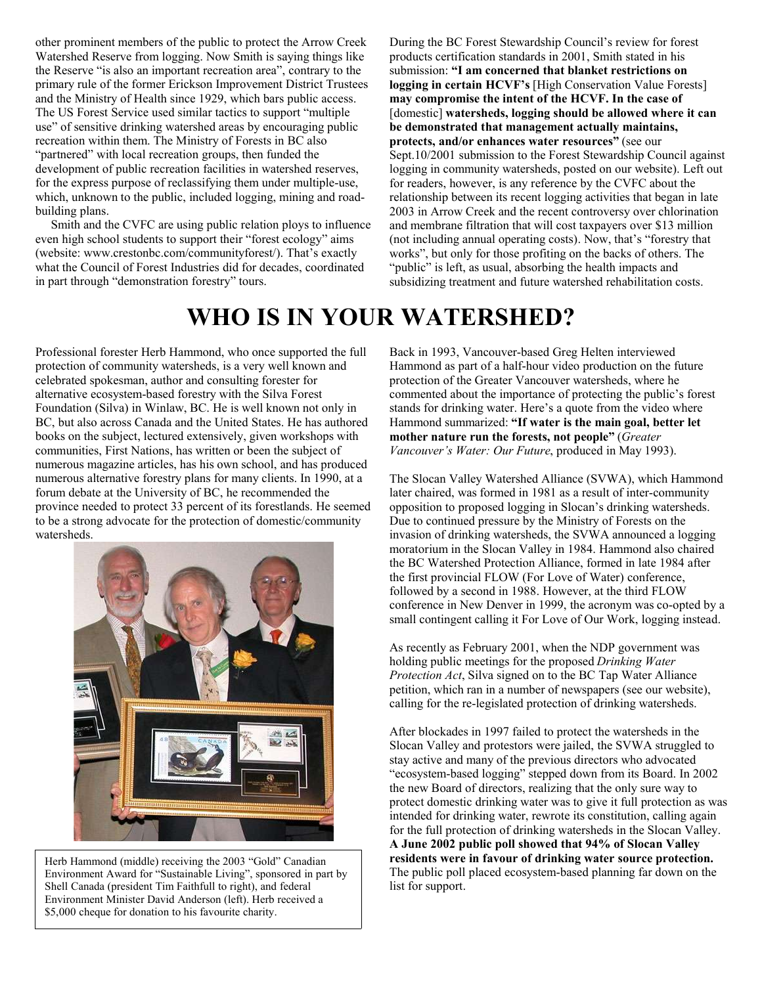other prominent members of the public to protect the Arrow Creek Watershed Reserve from logging. Now Smith is saying things like the Reserve "is also an important recreation area", contrary to the primary rule of the former Erickson Improvement District Trustees and the Ministry of Health since 1929, which bars public access. The US Forest Service used similar tactics to support "multiple use" of sensitive drinking watershed areas by encouraging public recreation within them. The Ministry of Forests in BC also "partnered" with local recreation groups, then funded the development of public recreation facilities in watershed reserves, for the express purpose of reclassifying them under multiple-use, which, unknown to the public, included logging, mining and roadbuilding plans.

 Smith and the CVFC are using public relation ploys to influence even high school students to support their "forest ecology" aims (website: www.crestonbc.com/communityforest/). That's exactly what the Council of Forest Industries did for decades, coordinated in part through "demonstration forestry" tours.

During the BC Forest Stewardship Council's review for forest products certification standards in 2001, Smith stated in his submission: **"I am concerned that blanket restrictions on logging in certain HCVF's** [High Conservation Value Forests] **may compromise the intent of the HCVF. In the case of** [domestic] **watersheds, logging should be allowed where it can be demonstrated that management actually maintains, protects, and/or enhances water resources"** (see our Sept.10/2001 submission to the Forest Stewardship Council against logging in community watersheds, posted on our website). Left out for readers, however, is any reference by the CVFC about the relationship between its recent logging activities that began in late 2003 in Arrow Creek and the recent controversy over chlorination and membrane filtration that will cost taxpayers over \$13 million (not including annual operating costs). Now, that's "forestry that works", but only for those profiting on the backs of others. The "public" is left, as usual, absorbing the health impacts and subsidizing treatment and future watershed rehabilitation costs.

## **WHO IS IN YOUR WATERSHED?**

Professional forester Herb Hammond, who once supported the full protection of community watersheds, is a very well known and celebrated spokesman, author and consulting forester for alternative ecosystem-based forestry with the Silva Forest Foundation (Silva) in Winlaw, BC. He is well known not only in BC, but also across Canada and the United States. He has authored books on the subject, lectured extensively, given workshops with communities, First Nations, has written or been the subject of numerous magazine articles, has his own school, and has produced numerous alternative forestry plans for many clients. In 1990, at a forum debate at the University of BC, he recommended the province needed to protect 33 percent of its forestlands. He seemed to be a strong advocate for the protection of domestic/community watersheds.



Herb Hammond (middle) receiving the 2003 "Gold" Canadian Environment Award for "Sustainable Living", sponsored in part by Shell Canada (president Tim Faithfull to right), and federal Environment Minister David Anderson (left). Herb received a \$5,000 cheque for donation to his favourite charity.

Back in 1993, Vancouver-based Greg Helten interviewed Hammond as part of a half-hour video production on the future protection of the Greater Vancouver watersheds, where he commented about the importance of protecting the public's forest stands for drinking water. Here's a quote from the video where Hammond summarized: **"If water is the main goal, better let mother nature run the forests, not people"** (*Greater Vancouver's Water: Our Future*, produced in May 1993).

The Slocan Valley Watershed Alliance (SVWA), which Hammond later chaired, was formed in 1981 as a result of inter-community opposition to proposed logging in Slocan's drinking watersheds. Due to continued pressure by the Ministry of Forests on the invasion of drinking watersheds, the SVWA announced a logging moratorium in the Slocan Valley in 1984. Hammond also chaired the BC Watershed Protection Alliance, formed in late 1984 after the first provincial FLOW (For Love of Water) conference, followed by a second in 1988. However, at the third FLOW conference in New Denver in 1999, the acronym was co-opted by a small contingent calling it For Love of Our Work, logging instead.

As recently as February 2001, when the NDP government was holding public meetings for the proposed *Drinking Water Protection Act*, Silva signed on to the BC Tap Water Alliance petition, which ran in a number of newspapers (see our website), calling for the re-legislated protection of drinking watersheds.

After blockades in 1997 failed to protect the watersheds in the Slocan Valley and protestors were jailed, the SVWA struggled to stay active and many of the previous directors who advocated "ecosystem-based logging" stepped down from its Board. In 2002 the new Board of directors, realizing that the only sure way to protect domestic drinking water was to give it full protection as was intended for drinking water, rewrote its constitution, calling again for the full protection of drinking watersheds in the Slocan Valley. **A June 2002 public poll showed that 94% of Slocan Valley residents were in favour of drinking water source protection.** The public poll placed ecosystem-based planning far down on the list for support.